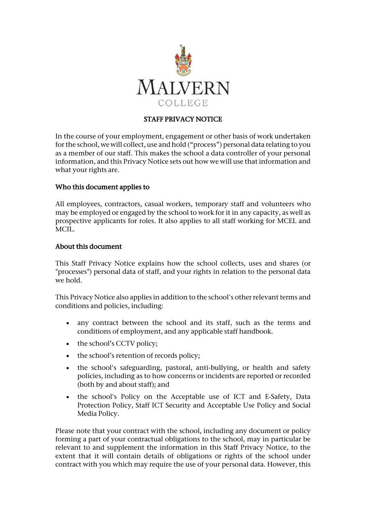

# STAFF PRIVACY NOTICE

In the course of your employment, engagement or other basis of work undertaken for the school, we will collect, use and hold ("process") personal data relating to you as a member of our staff. This makes the school a data controller of your personal information, and this Privacy Notice sets out how we will use that information and what your rights are.

#### Who this document applies to

All employees, contractors, casual workers, temporary staff and volunteers who may be employed or engaged by the school to work for it in any capacity, as well as prospective applicants for roles. It also applies to all staff working for MCEL and MCIL.

#### About this document

This Staff Privacy Notice explains how the school collects, uses and shares (or "processes") personal data of staff, and your rights in relation to the personal data we hold.

This Privacy Notice also applies in addition to the school's other relevant terms and conditions and policies, including:

- any contract between the school and its staff, such as the terms and conditions of employment, and any applicable staff handbook.
- the school's CCTV policy;
- the school's retention of records policy;
- the school's safeguarding, pastoral, anti-bullying, or health and safety policies, including as to how concerns or incidents are reported or recorded (both by and about staff); and
- the school's Policy on the Acceptable use of ICT and E-Safety, Data Protection Policy, Staff ICT Security and Acceptable Use Policy and Social Media Policy.

Please note that your contract with the school, including any document or policy forming a part of your contractual obligations to the school, may in particular be relevant to and supplement the information in this Staff Privacy Notice, to the extent that it will contain details of obligations or rights of the school under contract with you which may require the use of your personal data. However, this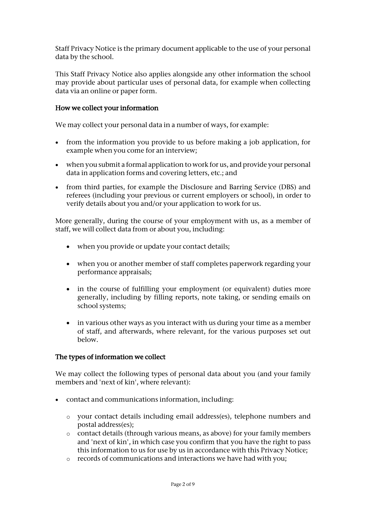Staff Privacy Notice is the primary document applicable to the use of your personal data by the school.

This Staff Privacy Notice also applies alongside any other information the school may provide about particular uses of personal data, for example when collecting data via an online or paper form.

## How we collect your information

We may collect your personal data in a number of ways, for example:

- from the information you provide to us before making a job application, for example when you come for an interview;
- when you submit a formal application to work for us, and provide your personal data in application forms and covering letters, etc.; and
- from third parties, for example the Disclosure and Barring Service (DBS) and referees (including your previous or current employers or school), in order to verify details about you and/or your application to work for us.

More generally, during the course of your employment with us, as a member of staff, we will collect data from or about you, including:

- when you provide or update your contact details;
- when you or another member of staff completes paperwork regarding your performance appraisals;
- in the course of fulfilling your employment (or equivalent) duties more generally, including by filling reports, note taking, or sending emails on school systems;
- in various other ways as you interact with us during your time as a member of staff, and afterwards, where relevant, for the various purposes set out below.

#### The types of information we collect

We may collect the following types of personal data about you (and your family members and 'next of kin', where relevant):

- contact and communications information, including:
	- o your contact details including email address(es), telephone numbers and postal address(es);
	- o contact details (through various means, as above) for your family members and 'next of kin', in which case you confirm that you have the right to pass this information to us for use by us in accordance with this Privacy Notice;
	- o records of communications and interactions we have had with you;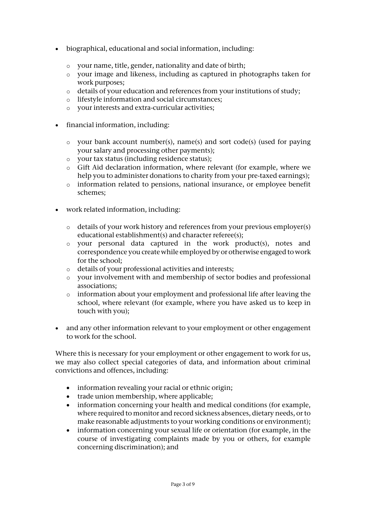- biographical, educational and social information, including:
	- o your name, title, gender, nationality and date of birth;
	- o your image and likeness, including as captured in photographs taken for work purposes;
	- o details of your education and references from your institutions of study;
	- o lifestyle information and social circumstances;
	- o your interests and extra-curricular activities;
- financial information, including:
	- o your bank account number(s), name(s) and sort code(s) (used for paying your salary and processing other payments);
	- o your tax status (including residence status);
	- o Gift Aid declaration information, where relevant (for example, where we help you to administer donations to charity from your pre-taxed earnings);
	- o information related to pensions, national insurance, or employee benefit schemes;
- work related information, including:
	- o details of your work history and references from your previous employer(s) educational establishment(s) and character referee(s);
	- o your personal data captured in the work product(s), notes and correspondence you create while employed by or otherwise engaged to work for the school;
	- o details of your professional activities and interests;
	- o your involvement with and membership of sector bodies and professional associations;
	- o information about your employment and professional life after leaving the school, where relevant (for example, where you have asked us to keep in touch with you);
- and any other information relevant to your employment or other engagement to work for the school.

Where this is necessary for your employment or other engagement to work for us, we may also collect special categories of data, and information about criminal convictions and offences, including:

- information revealing your racial or ethnic origin;
- trade union membership, where applicable;
- information concerning your health and medical conditions (for example, where required to monitor and record sickness absences, dietary needs, or to make reasonable adjustments to your working conditions or environment);
- information concerning your sexual life or orientation (for example, in the course of investigating complaints made by you or others, for example concerning discrimination); and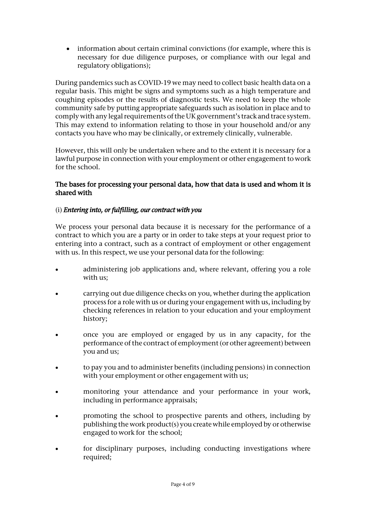information about certain criminal convictions (for example, where this is necessary for due diligence purposes, or compliance with our legal and regulatory obligations);

During pandemics such as COVID-19 we may need to collect basic health data on a regular basis. This might be signs and symptoms such as a high temperature and coughing episodes or the results of diagnostic tests. We need to keep the whole community safe by putting appropriate safeguards such as isolation in place and to comply with any legal requirements of the UK government's track and trace system. This may extend to information relating to those in your household and/or any contacts you have who may be clinically, or extremely clinically, vulnerable.

However, this will only be undertaken where and to the extent it is necessary for a lawful purpose in connection with your employment or other engagement to work for the school.

#### The bases for processing your personal data, how that data is used and whom it is shared with

# (i) *Entering into, or fulfilling, our contract with you*

We process your personal data because it is necessary for the performance of a contract to which you are a party or in order to take steps at your request prior to entering into a contract, such as a contract of employment or other engagement with us. In this respect, we use your personal data for the following:

- administering job applications and, where relevant, offering you a role with us;
- carrying out due diligence checks on you, whether during the application process for a role with us or during your engagement with us, including by checking references in relation to your education and your employment history;
- once you are employed or engaged by us in any capacity, for the performance of the contract of employment (or other agreement) between you and us;
- to pay you and to administer benefits (including pensions) in connection with your employment or other engagement with us;
- monitoring your attendance and your performance in your work, including in performance appraisals;
- promoting the school to prospective parents and others, including by publishing the work product(s) you create while employed by or otherwise engaged to work for the school;
- for disciplinary purposes, including conducting investigations where required;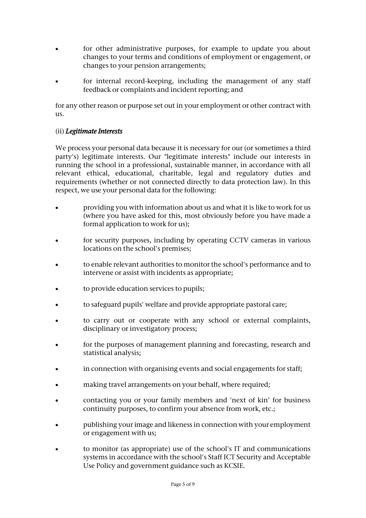- for other administrative purposes, for example to update you about changes to your terms and conditions of employment or engagement, or changes to your pension arrangements;
- for internal record-keeping, including the management of any staff feedback or complaints and incident reporting; and

for any other reason or purpose set out in your employment or other contract with us.

## (ii) *Legitimate Interests*

We process your personal data because it is necessary for our (or sometimes a third party's) legitimate interests. Our "legitimate interests" include our interests in running the school in a professional, sustainable manner, in accordance with all relevant ethical, educational, charitable, legal and regulatory duties and requirements (whether or not connected directly to data protection law). In this respect, we use your personal data for the following:

- providing you with information about us and what it is like to work for us (where you have asked for this, most obviously before you have made a formal application to work for us);
- for security purposes, including by operating CCTV cameras in various locations on the school's premises;
- to enable relevant authorities to monitor the school's performance and to intervene or assist with incidents as appropriate;
- to provide education services to pupils;
- to safeguard pupils' welfare and provide appropriate pastoral care;
- to carry out or cooperate with any school or external complaints, disciplinary or investigatory process;
- for the purposes of management planning and forecasting, research and statistical analysis;
- in connection with organising events and social engagements for staff;
- making travel arrangements on your behalf, where required;
- contacting you or your family members and 'next of kin' for business continuity purposes, to confirm your absence from work, etc.;
- publishing your image and likeness in connection with your employment or engagement with us;
- to monitor (as appropriate) use of the school's IT and communications systems in accordance with the school's Staff ICT Security and Acceptable Use Policy and government guidance such as KCSIE.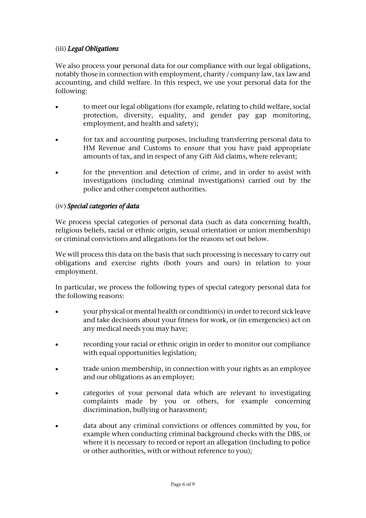## (iii) *Legal Obligations*

We also process your personal data for our compliance with our legal obligations, notably those in connection with employment, charity / company law, tax law and accounting, and child welfare. In this respect, we use your personal data for the following:

- to meet our legal obligations (for example, relating to child welfare, social protection, diversity, equality, and gender pay gap monitoring, employment, and health and safety);
- for tax and accounting purposes, including transferring personal data to HM Revenue and Customs to ensure that you have paid appropriate amounts of tax, and in respect of any Gift Aid claims, where relevant;
- for the prevention and detection of crime, and in order to assist with investigations (including criminal investigations) carried out by the police and other competent authorities.

## (iv) *Special categories of data*

We process special categories of personal data (such as data concerning health, religious beliefs, racial or ethnic origin, sexual orientation or union membership) or criminal convictions and allegations for the reasons set out below.

We will process this data on the basis that such processing is necessary to carry out obligations and exercise rights (both yours and ours) in relation to your employment.

In particular, we process the following types of special category personal data for the following reasons:

- your physical or mental health or condition(s) in order to record sick leave and take decisions about your fitness for work, or (in emergencies) act on any medical needs you may have;
- recording your racial or ethnic origin in order to monitor our compliance with equal opportunities legislation;
- trade union membership, in connection with your rights as an employee and our obligations as an employer;
- categories of your personal data which are relevant to investigating complaints made by you or others, for example concerning discrimination, bullying or harassment;
- data about any criminal convictions or offences committed by you, for example when conducting criminal background checks with the DBS, or where it is necessary to record or report an allegation (including to police or other authorities, with or without reference to you);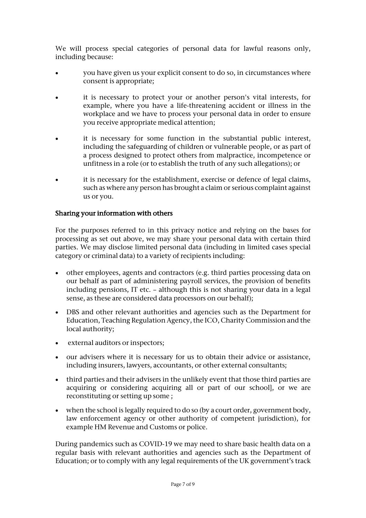We will process special categories of personal data for lawful reasons only, including because:

- you have given us your explicit consent to do so, in circumstances where consent is appropriate;
- it is necessary to protect your or another person's vital interests, for example, where you have a life-threatening accident or illness in the workplace and we have to process your personal data in order to ensure you receive appropriate medical attention;
- it is necessary for some function in the substantial public interest, including the safeguarding of children or vulnerable people, or as part of a process designed to protect others from malpractice, incompetence or unfitness in a role (or to establish the truth of any such allegations); or
- it is necessary for the establishment, exercise or defence of legal claims, such as where any person has brought a claim or serious complaint against us or you.

## Sharing your information with others

For the purposes referred to in this privacy notice and relying on the bases for processing as set out above, we may share your personal data with certain third parties. We may disclose limited personal data (including in limited cases special category or criminal data) to a variety of recipients including:

- other employees, agents and contractors (e.g. third parties processing data on our behalf as part of administering payroll services, the provision of benefits including pensions, IT etc. – although this is not sharing your data in a legal sense, as these are considered data processors on our behalf);
- DBS and other relevant authorities and agencies such as the Department for Education, Teaching Regulation Agency, the ICO, Charity Commission and the local authority;
- external auditors or inspectors;
- our advisers where it is necessary for us to obtain their advice or assistance, including insurers, lawyers, accountants, or other external consultants;
- third parties and their advisers in the unlikely event that those third parties are acquiring or considering acquiring all or part of our school], or we are reconstituting or setting up some ;
- when the school is legally required to do so (by a court order, government body, law enforcement agency or other authority of competent jurisdiction), for example HM Revenue and Customs or police.

During pandemics such as COVID-19 we may need to share basic health data on a regular basis with relevant authorities and agencies such as the Department of Education; or to comply with any legal requirements of the UK government's track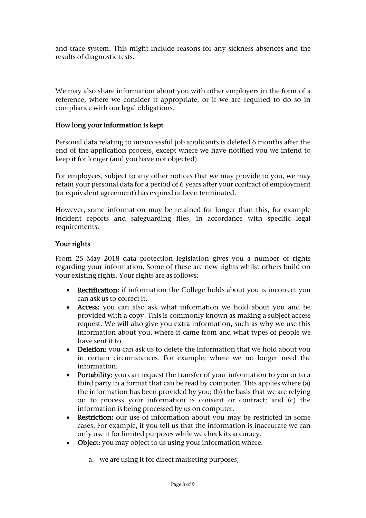and trace system. This might include reasons for any sickness absences and the results of diagnostic tests.

We may also share information about you with other employers in the form of a reference, where we consider it appropriate, or if we are required to do so in compliance with our legal obligations.

#### How long your information is kept

Personal data relating to unsuccessful job applicants is deleted 6 months after the end of the application process, except where we have notified you we intend to keep it for longer (and you have not objected).

For employees, subject to any other notices that we may provide to you, we may retain your personal data for a period of 6 years after your contract of employment (or equivalent agreement) has expired or been terminated.

However, some information may be retained for longer than this, for example incident reports and safeguarding files, in accordance with specific legal requirements.

#### Your rights

From 25 May 2018 data protection legislation gives you a number of rights regarding your information. Some of these are new rights whilst others build on your existing rights. Your rights are as follows:

- Rectification: if information the College holds about you is incorrect you can ask us to correct it.
- Access: you can also ask what information we hold about you and be provided with a copy. This is commonly known as making a subject access request. We will also give you extra information, such as why we use this information about you, where it came from and what types of people we have sent it to.
- Deletion: you can ask us to delete the information that we hold about you in certain circumstances. For example, where we no longer need the information.
- Portability: you can request the transfer of your information to you or to a third party in a format that can be read by computer. This applies where (a) the information has been provided by you; (b) the basis that we are relying on to process your information is consent or contract; and (c) the information is being processed by us on computer.
- Restriction: our use of information about you may be restricted in some cases. For example, if you tell us that the information is inaccurate we can only use it for limited purposes while we check its accuracy.
- Object: you may object to us using your information where:
	- a. we are using it for direct marketing purposes;